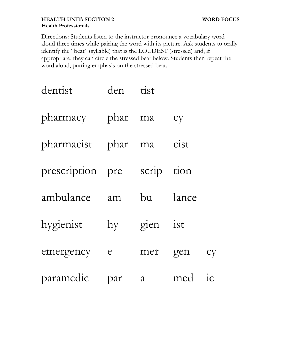## **HEALTH UNIT: SECTION 2 WORD FOCUS Health Professionals**

Directions: Students listen to the instructor pronounce a vocabulary word aloud three times while pairing the word with its picture. Ask students to orally identify the "beat" (syllable) that is the LOUDEST (stressed) and, if appropriate, they can circle the stressed beat below. Students then repeat the word aloud, putting emphasis on the stressed beat.

| dentist            | den                     | tist       |       |    |
|--------------------|-------------------------|------------|-------|----|
| pharmacy phar ma   |                         |            | cy    |    |
| pharmacist phar ma |                         |            | cist  |    |
| prescription pre   |                         | scrip tion |       |    |
| ambulance          | am                      | bu         | lance |    |
| hygienist          | $\mathbf{h} \mathbf{y}$ | gien ist   |       |    |
| emergency          | $\epsilon$              | mer        | gen   | cy |
| paramedic          | par                     | a          | med   | ic |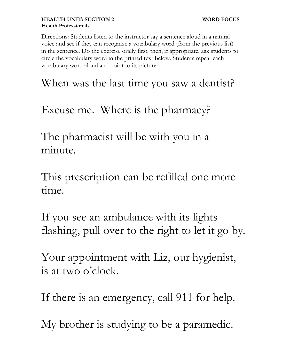Directions: Students <u>listen</u> to the instructor say a sentence aloud in a natural voice and see if they can recognize a vocabulary word (from the previous list) in the sentence. Do the exercise orally first, then, if appropriate, ask students to circle the vocabulary word in the printed text below. Students repeat each vocabulary word aloud and point to its picture.

When was the last time you saw a dentist?

Excuse me. Where is the pharmacy?

The pharmacist will be with you in a minute.

This prescription can be refilled one more time.

If you see an ambulance with its lights flashing, pull over to the right to let it go by.

Your appointment with Liz, our hygienist, is at two o'clock.

If there is an emergency, call 911 for help.

My brother is studying to be a paramedic.